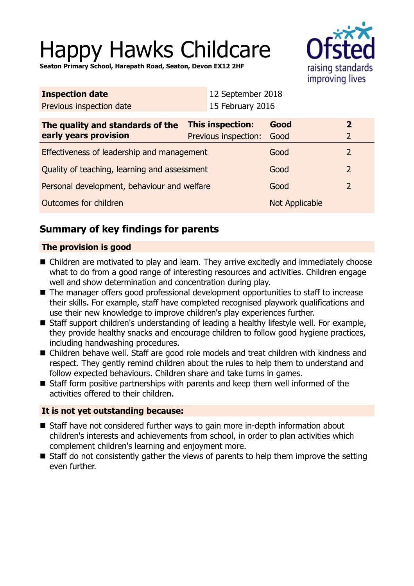# Happy Hawks Childcare

**Seaton Primary School, Harepath Road, Seaton, Devon EX12 2HF**



| <b>Inspection date</b>                                    |                                          | 12 September 2018 |                |                   |
|-----------------------------------------------------------|------------------------------------------|-------------------|----------------|-------------------|
| Previous inspection date                                  |                                          | 15 February 2016  |                |                   |
| The quality and standards of the<br>early years provision | This inspection:<br>Previous inspection: |                   | Good<br>Good   | $\mathbf{2}$<br>2 |
| Effectiveness of leadership and management                |                                          |                   | Good           | $\overline{2}$    |
| Quality of teaching, learning and assessment              |                                          |                   | Good           | 2                 |
| Personal development, behaviour and welfare               |                                          |                   | Good           | $\overline{2}$    |
| Outcomes for children                                     |                                          |                   | Not Applicable |                   |

# **Summary of key findings for parents**

## **The provision is good**

- Children are motivated to play and learn. They arrive excitedly and immediately choose what to do from a good range of interesting resources and activities. Children engage well and show determination and concentration during play.
- The manager offers good professional development opportunities to staff to increase their skills. For example, staff have completed recognised playwork qualifications and use their new knowledge to improve children's play experiences further.
- Staff support children's understanding of leading a healthy lifestyle well. For example, they provide healthy snacks and encourage children to follow good hygiene practices, including handwashing procedures.
- Children behave well. Staff are good role models and treat children with kindness and respect. They gently remind children about the rules to help them to understand and follow expected behaviours. Children share and take turns in games.
- $\blacksquare$  Staff form positive partnerships with parents and keep them well informed of the activities offered to their children.

#### **It is not yet outstanding because:**

- $\blacksquare$  Staff have not considered further ways to gain more in-depth information about children's interests and achievements from school, in order to plan activities which complement children's learning and enjoyment more.
- $\blacksquare$  Staff do not consistently gather the views of parents to help them improve the setting even further.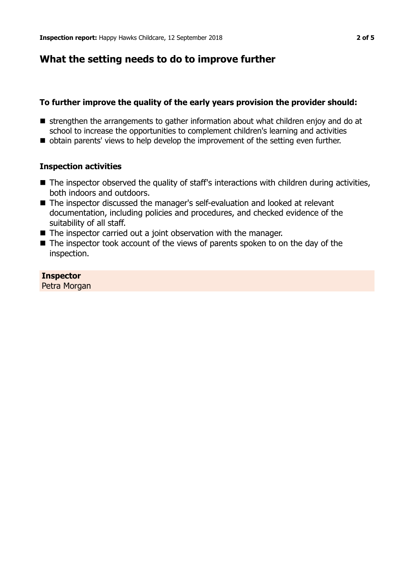## **What the setting needs to do to improve further**

#### **To further improve the quality of the early years provision the provider should:**

- $\blacksquare$  strengthen the arrangements to gather information about what children enjoy and do at school to increase the opportunities to complement children's learning and activities
- **n** obtain parents' views to help develop the improvement of the setting even further.

#### **Inspection activities**

- $\blacksquare$  The inspector observed the quality of staff's interactions with children during activities, both indoors and outdoors.
- The inspector discussed the manager's self-evaluation and looked at relevant documentation, including policies and procedures, and checked evidence of the suitability of all staff.
- $\blacksquare$  The inspector carried out a joint observation with the manager.
- $\blacksquare$  The inspector took account of the views of parents spoken to on the day of the inspection.

#### **Inspector**

Petra Morgan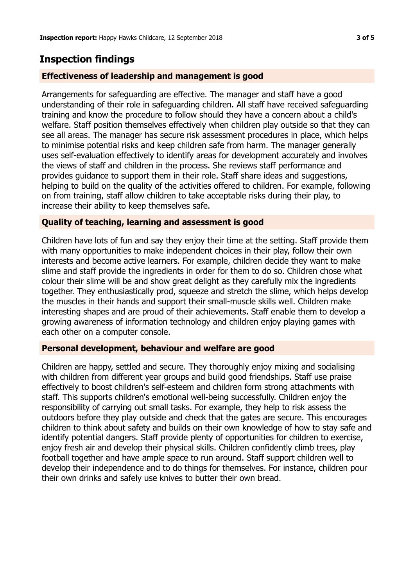# **Inspection findings**

#### **Effectiveness of leadership and management is good**

Arrangements for safeguarding are effective. The manager and staff have a good understanding of their role in safeguarding children. All staff have received safeguarding training and know the procedure to follow should they have a concern about a child's welfare. Staff position themselves effectively when children play outside so that they can see all areas. The manager has secure risk assessment procedures in place, which helps to minimise potential risks and keep children safe from harm. The manager generally uses self-evaluation effectively to identify areas for development accurately and involves the views of staff and children in the process. She reviews staff performance and provides guidance to support them in their role. Staff share ideas and suggestions, helping to build on the quality of the activities offered to children. For example, following on from training, staff allow children to take acceptable risks during their play, to increase their ability to keep themselves safe.

#### **Quality of teaching, learning and assessment is good**

Children have lots of fun and say they enjoy their time at the setting. Staff provide them with many opportunities to make independent choices in their play, follow their own interests and become active learners. For example, children decide they want to make slime and staff provide the ingredients in order for them to do so. Children chose what colour their slime will be and show great delight as they carefully mix the ingredients together. They enthusiastically prod, squeeze and stretch the slime, which helps develop the muscles in their hands and support their small-muscle skills well. Children make interesting shapes and are proud of their achievements. Staff enable them to develop a growing awareness of information technology and children enjoy playing games with each other on a computer console.

#### **Personal development, behaviour and welfare are good**

Children are happy, settled and secure. They thoroughly enjoy mixing and socialising with children from different year groups and build good friendships. Staff use praise effectively to boost children's self-esteem and children form strong attachments with staff. This supports children's emotional well-being successfully. Children enjoy the responsibility of carrying out small tasks. For example, they help to risk assess the outdoors before they play outside and check that the gates are secure. This encourages children to think about safety and builds on their own knowledge of how to stay safe and identify potential dangers. Staff provide plenty of opportunities for children to exercise, enjoy fresh air and develop their physical skills. Children confidently climb trees, play football together and have ample space to run around. Staff support children well to develop their independence and to do things for themselves. For instance, children pour their own drinks and safely use knives to butter their own bread.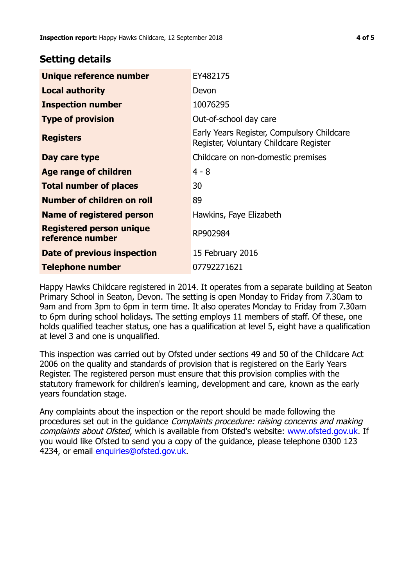## **Setting details**

| Unique reference number                             | EY482175                                                                             |  |
|-----------------------------------------------------|--------------------------------------------------------------------------------------|--|
| <b>Local authority</b>                              | Devon                                                                                |  |
| <b>Inspection number</b>                            | 10076295                                                                             |  |
| <b>Type of provision</b>                            | Out-of-school day care                                                               |  |
| <b>Registers</b>                                    | Early Years Register, Compulsory Childcare<br>Register, Voluntary Childcare Register |  |
| Day care type                                       | Childcare on non-domestic premises                                                   |  |
| Age range of children                               | $4 - 8$                                                                              |  |
| <b>Total number of places</b>                       | 30                                                                                   |  |
| Number of children on roll                          | 89                                                                                   |  |
| Name of registered person                           | Hawkins, Faye Elizabeth                                                              |  |
| <b>Registered person unique</b><br>reference number | RP902984                                                                             |  |
| Date of previous inspection                         | 15 February 2016                                                                     |  |
| <b>Telephone number</b>                             | 07792271621                                                                          |  |

Happy Hawks Childcare registered in 2014. It operates from a separate building at Seaton Primary School in Seaton, Devon. The setting is open Monday to Friday from 7.30am to 9am and from 3pm to 6pm in term time. It also operates Monday to Friday from 7.30am to 6pm during school holidays. The setting employs 11 members of staff. Of these, one holds qualified teacher status, one has a qualification at level 5, eight have a qualification at level 3 and one is unqualified.

This inspection was carried out by Ofsted under sections 49 and 50 of the Childcare Act 2006 on the quality and standards of provision that is registered on the Early Years Register. The registered person must ensure that this provision complies with the statutory framework for children's learning, development and care, known as the early years foundation stage.

Any complaints about the inspection or the report should be made following the procedures set out in the guidance Complaints procedure: raising concerns and making complaints about Ofsted, which is available from Ofsted's website: www.ofsted.gov.uk. If you would like Ofsted to send you a copy of the guidance, please telephone 0300 123 4234, or email [enquiries@ofsted.gov.uk.](mailto:enquiries@ofsted.gov.uk)